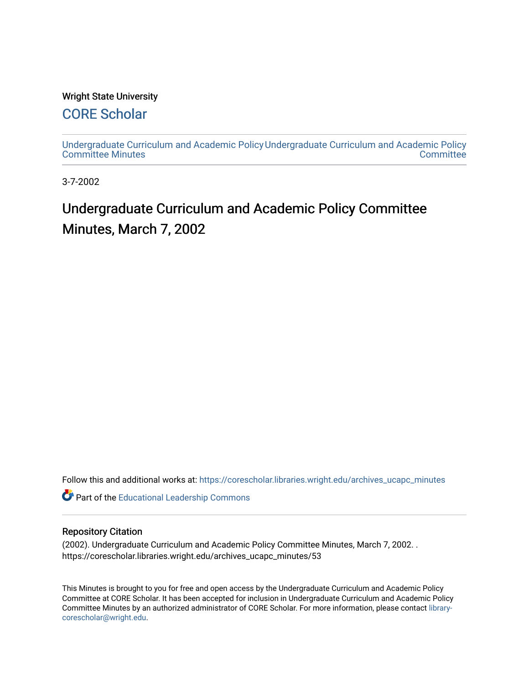## Wright State University

## [CORE Scholar](https://corescholar.libraries.wright.edu/)

[Undergraduate Curriculum and Academic Policy](https://corescholar.libraries.wright.edu/archives_ucapc_minutes) [Undergraduate Curriculum and Academic Policy](https://corescholar.libraries.wright.edu/archives_ucapc)  [Committee Minutes](https://corescholar.libraries.wright.edu/archives_ucapc_minutes) **Committee** 

3-7-2002

# Undergraduate Curriculum and Academic Policy Committee Minutes, March 7, 2002

Follow this and additional works at: [https://corescholar.libraries.wright.edu/archives\\_ucapc\\_minutes](https://corescholar.libraries.wright.edu/archives_ucapc_minutes?utm_source=corescholar.libraries.wright.edu%2Farchives_ucapc_minutes%2F53&utm_medium=PDF&utm_campaign=PDFCoverPages) 

Part of the [Educational Leadership Commons](http://network.bepress.com/hgg/discipline/1230?utm_source=corescholar.libraries.wright.edu%2Farchives_ucapc_minutes%2F53&utm_medium=PDF&utm_campaign=PDFCoverPages) 

#### Repository Citation

(2002). Undergraduate Curriculum and Academic Policy Committee Minutes, March 7, 2002. . https://corescholar.libraries.wright.edu/archives\_ucapc\_minutes/53

This Minutes is brought to you for free and open access by the Undergraduate Curriculum and Academic Policy Committee at CORE Scholar. It has been accepted for inclusion in Undergraduate Curriculum and Academic Policy Committee Minutes by an authorized administrator of CORE Scholar. For more information, please contact [library](mailto:library-corescholar@wright.edu)[corescholar@wright.edu](mailto:library-corescholar@wright.edu).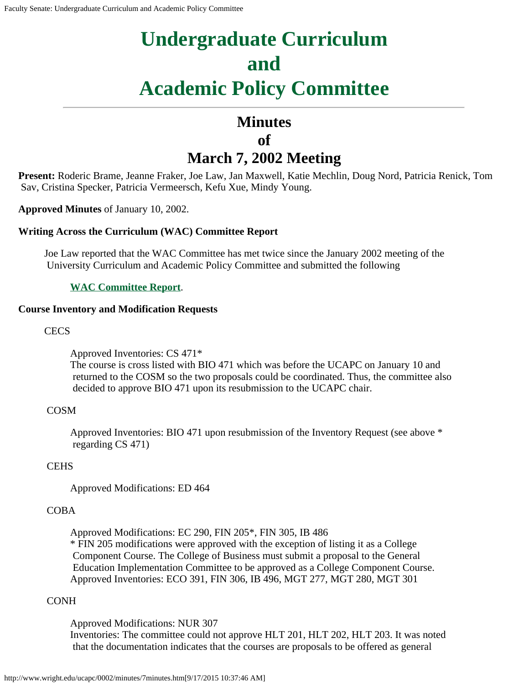# **Undergraduate Curriculum and Academic Policy Committee**

## **Minutes of March 7, 2002 Meeting**

**Present:** Roderic Brame, Jeanne Fraker, Joe Law, Jan Maxwell, Katie Mechlin, Doug Nord, Patricia Renick, Tom Sav, Cristina Specker, Patricia Vermeersch, Kefu Xue, Mindy Young.

**Approved Minutes** of January 10, 2002.

## **Writing Across the Curriculum (WAC) Committee Report**

Joe Law reported that the WAC Committee has met twice since the January 2002 meeting of the University Curriculum and Academic Policy Committee and submitted the following

## **[WAC Committee Report](#page-4-0)**.

## **Course Inventory and Modification Requests**

**CECS** 

Approved Inventories: CS 471\* The course is cross listed with BIO 471 which was before the UCAPC on January 10 and returned to the COSM so the two proposals could be coordinated. Thus, the committee also decided to approve BIO 471 upon its resubmission to the UCAPC chair.

## COSM

Approved Inventories: BIO 471 upon resubmission of the Inventory Request (see above \* regarding CS 471)

## **CEHS**

Approved Modifications: ED 464

## COBA

Approved Modifications: EC 290, FIN 205\*, FIN 305, IB 486

\* FIN 205 modifications were approved with the exception of listing it as a College Component Course. The College of Business must submit a proposal to the General Education Implementation Committee to be approved as a College Component Course. Approved Inventories: ECO 391, FIN 306, IB 496, MGT 277, MGT 280, MGT 301

## CONH

Approved Modifications: NUR 307

Inventories: The committee could not approve HLT 201, HLT 202, HLT 203. It was noted that the documentation indicates that the courses are proposals to be offered as general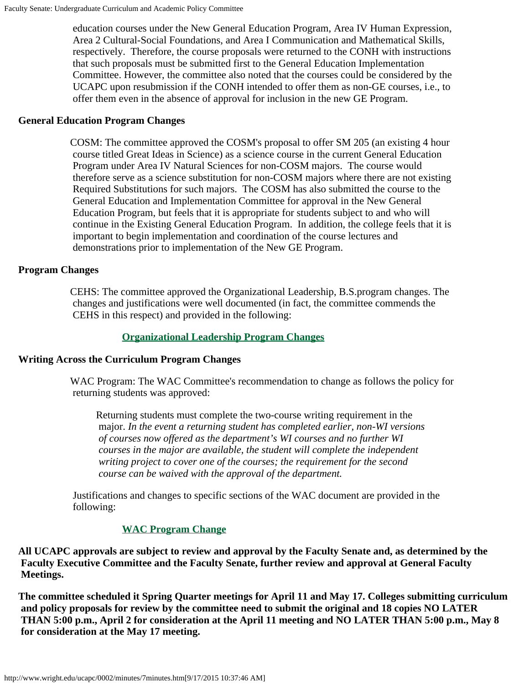education courses under the New General Education Program, Area IV Human Expression, Area 2 Cultural-Social Foundations, and Area I Communication and Mathematical Skills, respectively. Therefore, the course proposals were returned to the CONH with instructions that such proposals must be submitted first to the General Education Implementation Committee. However, the committee also noted that the courses could be considered by the UCAPC upon resubmission if the CONH intended to offer them as non-GE courses, i.e., to offer them even in the absence of approval for inclusion in the new GE Program.

#### **General Education Program Changes**

COSM: The committee approved the COSM's proposal to offer SM 205 (an existing 4 hour course titled Great Ideas in Science) as a science course in the current General Education Program under Area IV Natural Sciences for non-COSM majors. The course would therefore serve as a science substitution for non-COSM majors where there are not existing Required Substitutions for such majors. The COSM has also submitted the course to the General Education and Implementation Committee for approval in the New General Education Program, but feels that it is appropriate for students subject to and who will continue in the Existing General Education Program. In addition, the college feels that it is important to begin implementation and coordination of the course lectures and demonstrations prior to implementation of the New GE Program.

## **Program Changes**

CEHS: The committee approved the Organizational Leadership, B.S.program changes. The changes and justifications were well documented (in fact, the committee commends the CEHS in this respect) and provided in the following:

## **[Organizational Leadership Program](#page-5-0) Changes**

#### **Writing Across the Curriculum Program Changes**

WAC Program: The WAC Committee's recommendation to change as follows the policy for returning students was approved:

Returning students must complete the two-course writing requirement in the major. *In the event a returning student has completed earlier, non-WI versions of courses now offered as the department's WI courses and no further WI courses in the major are available, the student will complete the independent writing project to cover one of the courses; the requirement for the second course can be waived with the approval of the department.*

Justifications and changes to specific sections of the WAC document are provided in the following:

## **[WAC Program Change](#page-7-0)**

**All UCAPC approvals are subject to review and approval by the Faculty Senate and, as determined by the Faculty Executive Committee and the Faculty Senate, further review and approval at General Faculty Meetings.**

**The committee scheduled it Spring Quarter meetings for April 11 and May 17. Colleges submitting curriculum and policy proposals for review by the committee need to submit the original and 18 copies NO LATER THAN 5:00 p.m., April 2 for consideration at the April 11 meeting and NO LATER THAN 5:00 p.m., May 8 for consideration at the May 17 meeting.**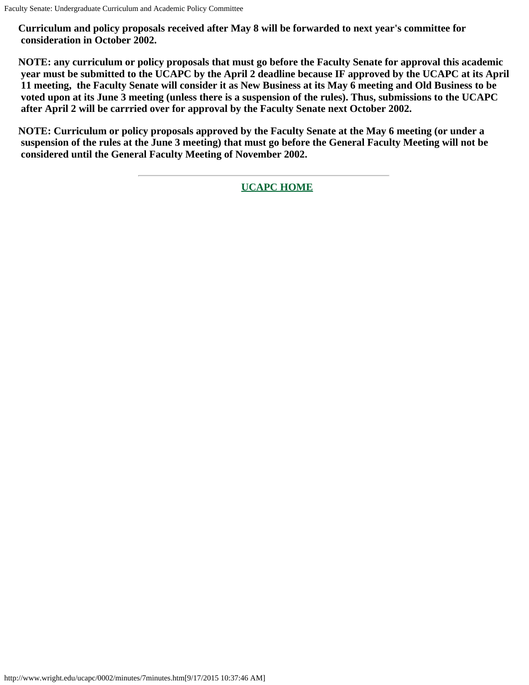**Curriculum and policy proposals received after May 8 will be forwarded to next year's committee for consideration in October 2002.**

**NOTE: any curriculum or policy proposals that must go before the Faculty Senate for approval this academic year must be submitted to the UCAPC by the April 2 deadline because IF approved by the UCAPC at its April 11 meeting, the Faculty Senate will consider it as New Business at its May 6 meeting and Old Business to be voted upon at its June 3 meeting (unless there is a suspension of the rules). Thus, submissions to the UCAPC after April 2 will be carrried over for approval by the Faculty Senate next October 2002.**

**NOTE: Curriculum or policy proposals approved by the Faculty Senate at the May 6 meeting (or under a suspension of the rules at the June 3 meeting) that must go before the General Faculty Meeting will not be considered until the General Faculty Meeting of November 2002.**

**[UCAPC HOME](http://www.wright.edu/ucapc/index.htm)**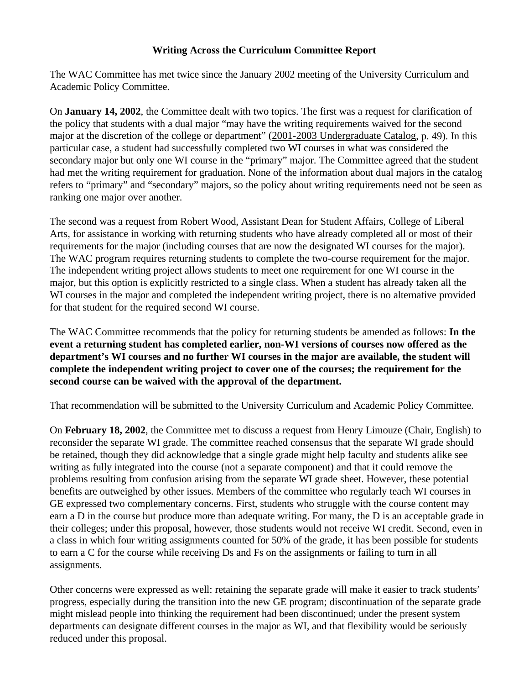## **Writing Across the Curriculum Committee Report**

<span id="page-4-0"></span>The WAC Committee has met twice since the January 2002 meeting of the University Curriculum and Academic Policy Committee.

On **January 14, 2002**, the Committee dealt with two topics. The first was a request for clarification of the policy that students with a dual major "may have the writing requirements waived for the second major at the discretion of the college or department" (2001-2003 Undergraduate Catalog, p. 49). In this particular case, a student had successfully completed two WI courses in what was considered the secondary major but only one WI course in the "primary" major. The Committee agreed that the student had met the writing requirement for graduation. None of the information about dual majors in the catalog refers to "primary" and "secondary" majors, so the policy about writing requirements need not be seen as ranking one major over another.

The second was a request from Robert Wood, Assistant Dean for Student Affairs, College of Liberal Arts, for assistance in working with returning students who have already completed all or most of their requirements for the major (including courses that are now the designated WI courses for the major). The WAC program requires returning students to complete the two-course requirement for the major. The independent writing project allows students to meet one requirement for one WI course in the major, but this option is explicitly restricted to a single class. When a student has already taken all the WI courses in the major and completed the independent writing project, there is no alternative provided for that student for the required second WI course.

The WAC Committee recommends that the policy for returning students be amended as follows: **In the event a returning student has completed earlier, non-WI versions of courses now offered as the department's WI courses and no further WI courses in the major are available, the student will complete the independent writing project to cover one of the courses; the requirement for the second course can be waived with the approval of the department.**

That recommendation will be submitted to the University Curriculum and Academic Policy Committee.

On **February 18, 2002**, the Committee met to discuss a request from Henry Limouze (Chair, English) to reconsider the separate WI grade. The committee reached consensus that the separate WI grade should be retained, though they did acknowledge that a single grade might help faculty and students alike see writing as fully integrated into the course (not a separate component) and that it could remove the problems resulting from confusion arising from the separate WI grade sheet. However, these potential benefits are outweighed by other issues. Members of the committee who regularly teach WI courses in GE expressed two complementary concerns. First, students who struggle with the course content may earn a D in the course but produce more than adequate writing. For many, the D is an acceptable grade in their colleges; under this proposal, however, those students would not receive WI credit. Second, even in a class in which four writing assignments counted for 50% of the grade, it has been possible for students to earn a C for the course while receiving Ds and Fs on the assignments or failing to turn in all assignments.

Other concerns were expressed as well: retaining the separate grade will make it easier to track students' progress, especially during the transition into the new GE program; discontinuation of the separate grade might mislead people into thinking the requirement had been discontinued; under the present system departments can designate different courses in the major as WI, and that flexibility would be seriously reduced under this proposal.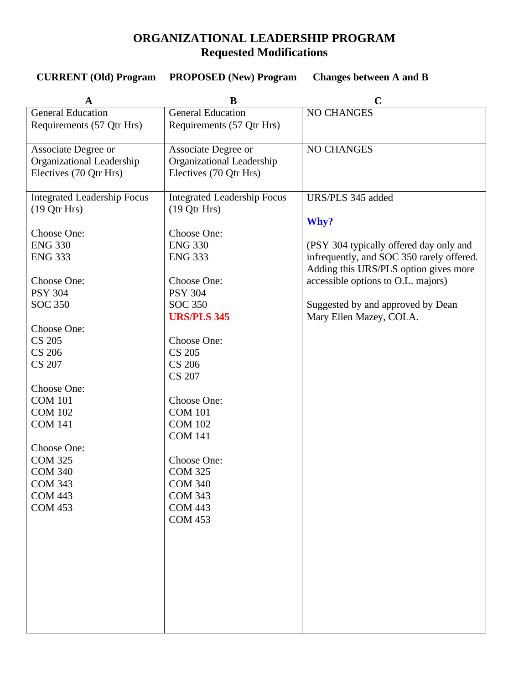## **ORGANIZATIONAL LEADERSHIP PROGRAM Requested Modifications**

<span id="page-5-0"></span>

| <b>CURRENT</b> (Old) Program | <b>PROPOSED</b> (New) Program | <b>Changes between A and B</b> |
|------------------------------|-------------------------------|--------------------------------|
|------------------------------|-------------------------------|--------------------------------|

| A                                  | B                                  |                                           |
|------------------------------------|------------------------------------|-------------------------------------------|
| <b>General Education</b>           | <b>General Education</b>           | <b>NO CHANGES</b>                         |
| Requirements (57 Qtr Hrs)          | Requirements (57 Qtr Hrs)          |                                           |
|                                    |                                    |                                           |
| Associate Degree or                | Associate Degree or                | <b>NO CHANGES</b>                         |
| Organizational Leadership          | Organizational Leadership          |                                           |
| Electives (70 Qtr Hrs)             | Electives (70 Qtr Hrs)             |                                           |
|                                    |                                    |                                           |
| <b>Integrated Leadership Focus</b> | <b>Integrated Leadership Focus</b> | URS/PLS 345 added                         |
| (19 Qtr Hrs)                       | (19 Qtr Hrs)                       |                                           |
| Choose One:                        | Choose One:                        | Why?                                      |
| <b>ENG 330</b>                     | <b>ENG 330</b>                     | (PSY 304 typically offered day only and   |
| <b>ENG 333</b>                     | <b>ENG 333</b>                     | infrequently, and SOC 350 rarely offered. |
|                                    |                                    | Adding this URS/PLS option gives more     |
| Choose One:                        | Choose One:                        | accessible options to O.L. majors)        |
| <b>PSY 304</b>                     | <b>PSY 304</b>                     |                                           |
| <b>SOC 350</b>                     | <b>SOC 350</b>                     | Suggested by and approved by Dean         |
|                                    | <b>URS/PLS 345</b>                 | Mary Ellen Mazey, COLA.                   |
| Choose One:                        |                                    |                                           |
| <b>CS 205</b>                      | Choose One:                        |                                           |
| <b>CS 206</b>                      | <b>CS 205</b>                      |                                           |
| <b>CS 207</b>                      | <b>CS 206</b>                      |                                           |
|                                    | <b>CS 207</b>                      |                                           |
| Choose One:                        |                                    |                                           |
| <b>COM 101</b>                     | Choose One:                        |                                           |
| <b>COM 102</b>                     | <b>COM 101</b>                     |                                           |
| <b>COM 141</b>                     | <b>COM 102</b>                     |                                           |
|                                    | <b>COM 141</b>                     |                                           |
| Choose One:                        |                                    |                                           |
| <b>COM 325</b>                     | Choose One:                        |                                           |
| <b>COM 340</b>                     | <b>COM 325</b>                     |                                           |
| <b>COM 343</b>                     | <b>COM 340</b>                     |                                           |
| <b>COM 443</b><br><b>COM 453</b>   | <b>COM 343</b><br><b>COM 443</b>   |                                           |
|                                    | <b>COM 453</b>                     |                                           |
|                                    |                                    |                                           |
|                                    |                                    |                                           |
|                                    |                                    |                                           |
|                                    |                                    |                                           |
|                                    |                                    |                                           |
|                                    |                                    |                                           |
|                                    |                                    |                                           |
|                                    |                                    |                                           |
|                                    |                                    |                                           |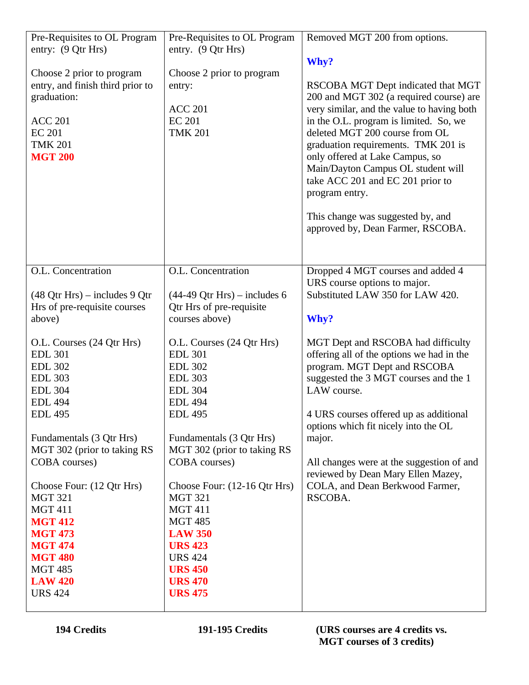| Pre-Requisites to OL Program                | Pre-Requisites to OL Program   | Removed MGT 200 from options.                                     |
|---------------------------------------------|--------------------------------|-------------------------------------------------------------------|
| entry: (9 Qtr Hrs)                          | entry. (9 Qtr Hrs)             |                                                                   |
|                                             |                                | Why?                                                              |
| Choose 2 prior to program                   | Choose 2 prior to program      |                                                                   |
| entry, and finish third prior to            | entry:                         | RSCOBA MGT Dept indicated that MGT                                |
| graduation:                                 |                                | 200 and MGT 302 (a required course) are                           |
|                                             | <b>ACC 201</b>                 | very similar, and the value to having both                        |
| <b>ACC 201</b>                              | <b>EC 201</b>                  | in the O.L. program is limited. So, we                            |
| <b>EC 201</b>                               | <b>TMK 201</b>                 | deleted MGT 200 course from OL                                    |
| <b>TMK 201</b>                              |                                | graduation requirements. TMK 201 is                               |
| <b>MGT 200</b>                              |                                | only offered at Lake Campus, so                                   |
|                                             |                                | Main/Dayton Campus OL student will                                |
|                                             |                                | take ACC 201 and EC 201 prior to                                  |
|                                             |                                | program entry.                                                    |
|                                             |                                |                                                                   |
|                                             |                                | This change was suggested by, and                                 |
|                                             |                                | approved by, Dean Farmer, RSCOBA.                                 |
|                                             |                                |                                                                   |
|                                             |                                |                                                                   |
| O.L. Concentration                          | O.L. Concentration             |                                                                   |
|                                             |                                | Dropped 4 MGT courses and added 4<br>URS course options to major. |
|                                             |                                | Substituted LAW 350 for LAW 420.                                  |
| $(48$ Qtr Hrs) – includes 9 Qtr             | $(44-49$ Qtr Hrs) – includes 6 |                                                                   |
| Hrs of pre-requisite courses                | Qtr Hrs of pre-requisite       |                                                                   |
| above)                                      | courses above)                 | Why?                                                              |
| O.L. Courses (24 Qtr Hrs)                   | O.L. Courses (24 Qtr Hrs)      | MGT Dept and RSCOBA had difficulty                                |
| <b>EDL 301</b>                              | <b>EDL 301</b>                 | offering all of the options we had in the                         |
| <b>EDL 302</b>                              | <b>EDL 302</b>                 | program. MGT Dept and RSCOBA                                      |
| <b>EDL 303</b>                              | <b>EDL 303</b>                 | suggested the 3 MGT courses and the 1                             |
| <b>EDL 304</b>                              | <b>EDL 304</b>                 | LAW course.                                                       |
| <b>EDL 494</b>                              | <b>EDL 494</b>                 |                                                                   |
| <b>EDL 495</b>                              | <b>EDL 495</b>                 | 4 URS courses offered up as additional                            |
|                                             |                                | options which fit nicely into the OL                              |
| Fundamentals (3 Qtr Hrs)                    | Fundamentals (3 Qtr Hrs)       | major.                                                            |
| MGT 302 (prior to taking RS                 | MGT 302 (prior to taking RS    |                                                                   |
| COBA courses)                               | COBA courses)                  | All changes were at the suggestion of and                         |
|                                             |                                | reviewed by Dean Mary Ellen Mazey,                                |
|                                             |                                |                                                                   |
| Choose Four: (12 Qtr Hrs)<br><b>MGT 321</b> | Choose Four: (12-16 Qtr Hrs)   | COLA, and Dean Berkwood Farmer,                                   |
|                                             | <b>MGT 321</b>                 | RSCOBA.                                                           |
| <b>MGT 411</b>                              | <b>MGT 411</b>                 |                                                                   |
| <b>MGT 412</b>                              | <b>MGT 485</b>                 |                                                                   |
| <b>MGT 473</b>                              | <b>LAW 350</b>                 |                                                                   |
| <b>MGT 474</b>                              | <b>URS 423</b>                 |                                                                   |
| <b>MGT 480</b>                              | <b>URS 424</b>                 |                                                                   |
| <b>MGT 485</b>                              | <b>URS 450</b>                 |                                                                   |
| <b>LAW 420</b>                              | <b>URS 470</b>                 |                                                                   |
| <b>URS 424</b>                              | <b>URS 475</b>                 |                                                                   |
|                                             |                                |                                                                   |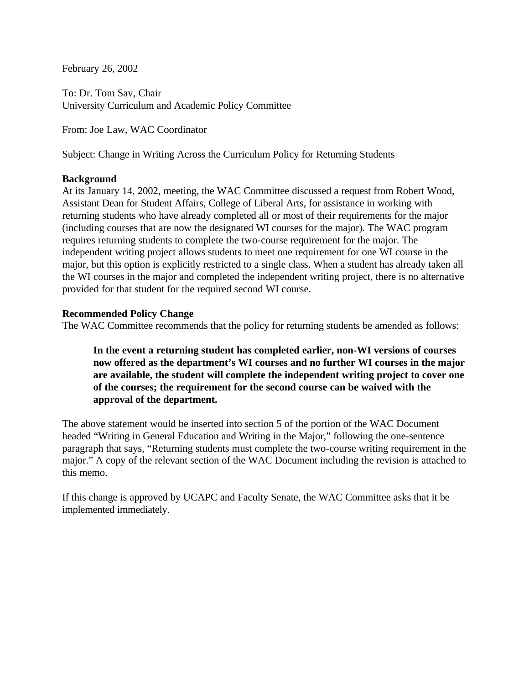<span id="page-7-0"></span>February 26, 2002

To: Dr. Tom Sav, Chair University Curriculum and Academic Policy Committee

From: Joe Law, WAC Coordinator

Subject: Change in Writing Across the Curriculum Policy for Returning Students

#### **Background**

At its January 14, 2002, meeting, the WAC Committee discussed a request from Robert Wood, Assistant Dean for Student Affairs, College of Liberal Arts, for assistance in working with returning students who have already completed all or most of their requirements for the major (including courses that are now the designated WI courses for the major). The WAC program requires returning students to complete the two-course requirement for the major. The independent writing project allows students to meet one requirement for one WI course in the major, but this option is explicitly restricted to a single class. When a student has already taken all the WI courses in the major and completed the independent writing project, there is no alternative provided for that student for the required second WI course.

#### **Recommended Policy Change**

The WAC Committee recommends that the policy for returning students be amended as follows:

**In the event a returning student has completed earlier, non-WI versions of courses now offered as the department's WI courses and no further WI courses in the major are available, the student will complete the independent writing project to cover one of the courses; the requirement for the second course can be waived with the approval of the department.**

The above statement would be inserted into section 5 of the portion of the WAC Document headed "Writing in General Education and Writing in the Major," following the one-sentence paragraph that says, "Returning students must complete the two-course writing requirement in the major." A copy of the relevant section of the WAC Document including the revision is attached to this memo.

If this change is approved by UCAPC and Faculty Senate, the WAC Committee asks that it be implemented immediately.